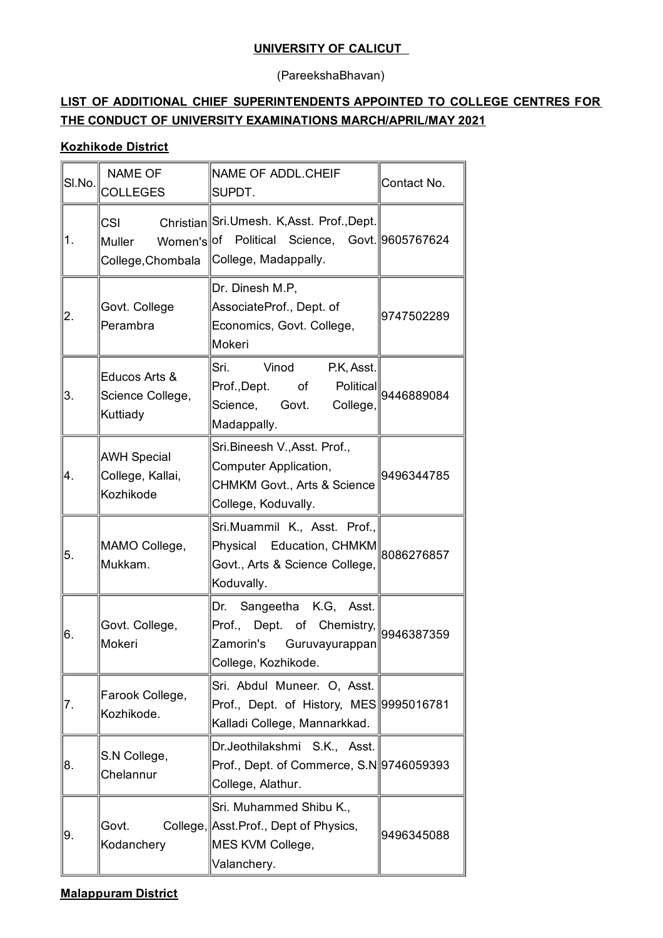### **UNIVERSITY OF CALICUT**

(PareekshaBhavan)

## **LIST OF ADDITIONAL CHIEF SUPERINTENDENTS APPOINTED TO COLLEGE CENTRES FOR THE CONDUCT OF UNIVERSITY EXAMINATIONS MARCH/APRIL/MAY 2021**

### **Kozhikode District**

| SI.No. | <b>NAME OF</b><br><b>COLLEGES</b>                   | NAME OF ADDL.CHEIF<br>SUPDT.                                                                                                             | Contact No.          |
|--------|-----------------------------------------------------|------------------------------------------------------------------------------------------------------------------------------------------|----------------------|
| 1.     | <b>CSI</b><br>Muller                                | Christian Sri.Umesh. K, Asst. Prof., Dept.<br>Women's of Political Science, Govt. 9605767624<br>College, Chombala   College, Madappally. |                      |
| 2.     | Govt. College<br>Perambra                           | Dr. Dinesh M.P,<br>AssociateProf., Dept. of<br>Economics, Govt. College,<br>Mokeri                                                       | 9747502289           |
| 3.     | Educos Arts &<br>Science College,<br>Kuttiady       | Sri.<br>Vinod<br>P.K, Asst.<br>Prof.,Dept. of<br>Govt.<br>College,<br>Science,<br>Madappally.                                            | Political 9446889084 |
| 4.     | <b>AWH Special</b><br>College, Kallai,<br>Kozhikode | Sri.Bineesh V., Asst. Prof.,<br>Computer Application,<br><b>CHMKM Govt., Arts &amp; Science</b><br>College, Koduvally.                   | 9496344785           |
| 5.     | MAMO College,<br>Mukkam.                            | Sri.Muammil K., Asst. Prof.,<br>Physical Education, CHMKM<br>Govt., Arts & Science College,<br>Koduvally.                                | 8086276857           |
| 6.     | Govt. College,<br>Mokeri                            | Dr.<br>Sangeetha K.G, Asst.<br>Prof., Dept. of Chemistry,<br>Zamorin's Guruvayurappan<br>College, Kozhikode.                             | 9946387359           |
| 7.     | Farook College,<br>Kozhikode.                       | Sri. Abdul Muneer. O, Asst.<br>Prof., Dept. of History, MES 9995016781<br>Kalladi College, Mannarkkad.                                   |                      |
| 8.     | S.N College,<br>Chelannur                           | Dr.Jeothilakshmi S.K., Asst.<br>Prof., Dept. of Commerce, S.N 9746059393<br>College, Alathur.                                            |                      |
| 9.     | Govt.<br>Kodanchery                                 | Sri. Muhammed Shibu K.,<br>College, Asst. Prof., Dept of Physics,<br>MES KVM College,<br>Valanchery.                                     | 9496345088           |

#### **Malappuram District**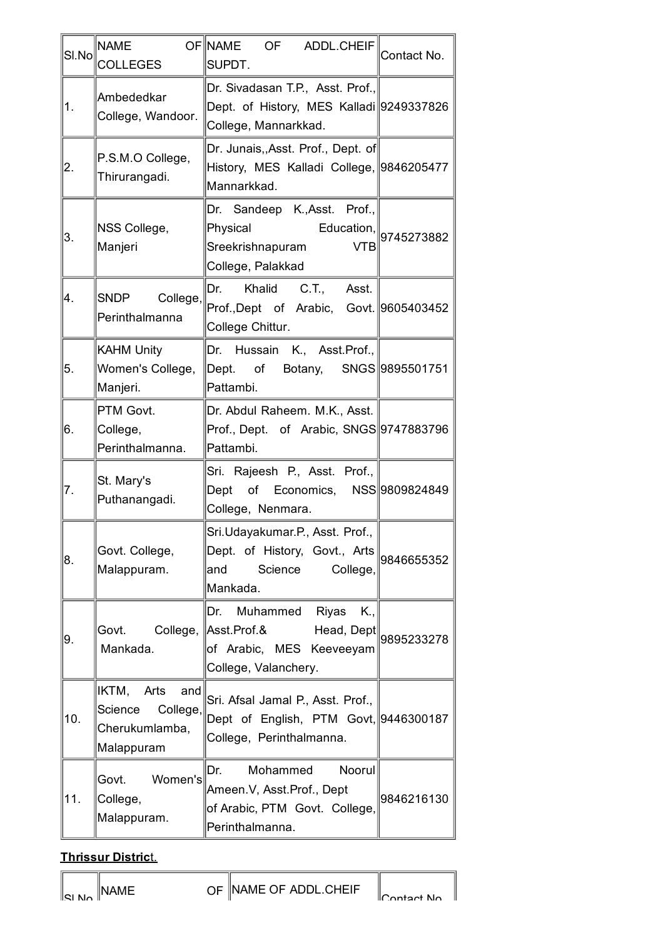| SI.No | $\sf{NAME}$<br><b>COLLEGES</b>                                              | OF NAME OF ADDL.CHEIF<br>SUPDT.                                                                                                                                       | Contact No. |
|-------|-----------------------------------------------------------------------------|-----------------------------------------------------------------------------------------------------------------------------------------------------------------------|-------------|
| 1.    | Ambededkar<br>College, Wandoor.                                             | Dr. Sivadasan T.P., Asst. Prof.,<br>Dept. of History, MES Kalladi 9249337826<br>College, Mannarkkad.                                                                  |             |
| 2.    | P.S.M.O College,<br>Thirurangadi.                                           | Dr. Junais, Asst. Prof., Dept. of<br>History, MES Kalladi College, 9846205477<br>Mannarkkad.                                                                          |             |
| 3.    | NSS College,<br>Manjeri                                                     | Dr. Sandeep K., Asst. Prof.,<br>$\left \mathsf{Physical}\right $ Education, $\left \mathsf{g745273882}\right $<br><b>VTB</b><br>Sreekrishnapuram<br>College, Palakkad |             |
| 4.    | SNDP College,<br>Perinthalmanna                                             | Dr. Khalid C.T., Asst.<br>Prof.,Dept of Arabic, Govt. 9605403452<br>College Chittur.                                                                                  |             |
| 5.    | <b>KAHM Unity</b><br>Women's College,<br>Manjeri.                           | Dr. Hussain K., Asst. Prof.,<br>Dept. of Botany, SNGS 9895501751<br>Pattambi.                                                                                         |             |
| 6.    | PTM Govt.<br>College,<br>Perinthalmanna.                                    | Dr. Abdul Raheem. M.K., Asst.<br>Prof., Dept. of Arabic, SNGS 9747883796<br>Pattambi.                                                                                 |             |
| 7.    | St. Mary's<br>Puthanangadi.                                                 | Sri. Rajeesh P., Asst. Prof.,<br>Dept of Economics, NSS 9809824849<br>College, Nenmara.                                                                               |             |
| 8.    | Govt. College,<br>Malappuram.                                               | Sri.Udayakumar.P., Asst. Prof.,<br>Dept. of History, Govt., Arts<br>Science<br>College,<br> and<br>Mankada.                                                           | 9846655352  |
| 9.    | Govt.<br>Mankada.                                                           | Dr. Muhammed Riyas<br>K.,<br>College, Asst.Prof.& Head, Dept 9895233278<br>of Arabic, MES Keeveeyam<br>College, Valanchery.                                           |             |
| 10.   | IKTM,<br>Arts<br>and<br>Science<br>College,<br>Cherukumlamba,<br>Malappuram | Sri. Afsal Jamal P., Asst. Prof.,<br>Dept of English, PTM Govt, 9446300187<br>College, Perinthalmanna.                                                                |             |
| 11.   | Women's<br>Govt.<br>College,<br>Malappuram.                                 | Dr.<br>Mohammed<br>Noorul<br>Ameen.V, Asst.Prof., Dept<br>of Arabic, PTM Govt. College,<br>Perinthalmanna.                                                            | 9846216130  |

# **Thrissur Distric**t.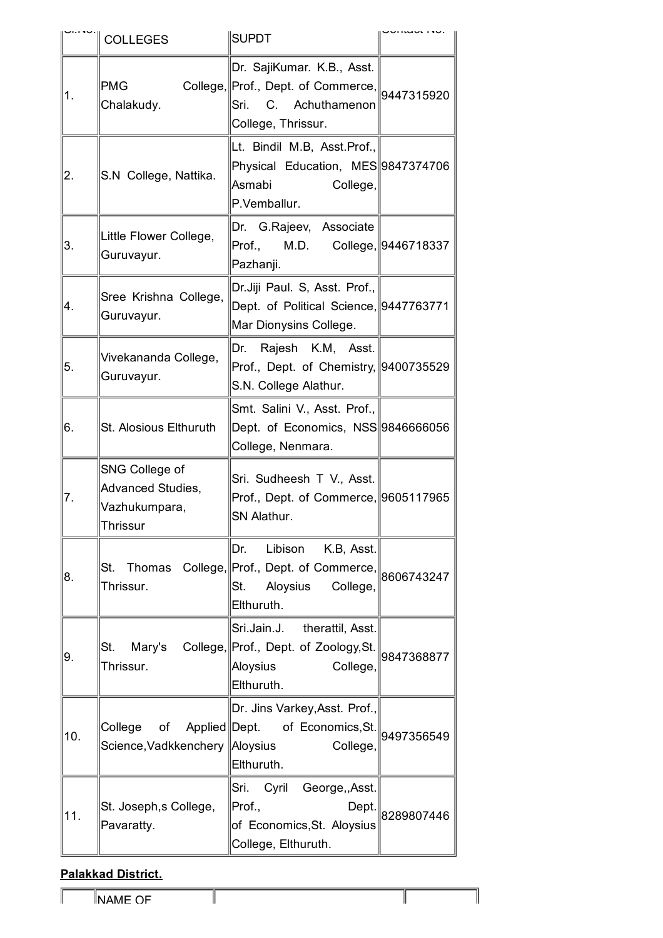|     | <b>COLLEGES</b>                                                  | <b>SUPDT</b>                                                                                                                                   |            |
|-----|------------------------------------------------------------------|------------------------------------------------------------------------------------------------------------------------------------------------|------------|
| 1.  | <b>PMG</b><br>Chalakudy.                                         | Dr. SajiKumar. K.B., Asst.<br>College, Prof., Dept. of Commerce, 9447315920<br>C. Achuthamenon<br>Sri.<br>College, Thrissur.                   |            |
| 2.  | S.N College, Nattika.                                            | Lt. Bindil M.B, Asst.Prof.,<br>Physical Education, MES 9847374706<br>Asmabi<br>College,<br>P.Vemballur.                                        |            |
| 3.  | Little Flower College,<br>Guruvayur.                             | Dr. G.Rajeev, Associate<br>Prof., M.D. College, 9446718337<br>Pazhanji.                                                                        |            |
| 4.  | Sree Krishna College,<br>Guruvayur.                              | Dr.Jiji Paul. S, Asst. Prof.,<br>Dept. of Political Science, 9447763771<br>Mar Dionysins College.                                              |            |
| 5.  | Vivekananda College,<br>Guruvayur.                               | Dr. Rajesh K.M, Asst.<br>Prof., Dept. of Chemistry, 9400735529<br>S.N. College Alathur.                                                        |            |
| 6.  | St. Alosious Elthuruth                                           | Smt. Salini V., Asst. Prof.,<br>Dept. of Economics, NSS 9846666056<br>College, Nenmara.                                                        |            |
| 7.  | SNG College of<br>Advanced Studies,<br>Vazhukumpara,<br>Thrissur | Sri. Sudheesh T V., Asst.<br>Prof., Dept. of Commerce, 9605117965<br>SN Alathur.                                                               |            |
| 8.  | Thrissur.                                                        | Dr.<br>Libison K.B, Asst.<br>St. Thomas College, Prof., Dept. of Commerce, $\parallel 8606743247$<br>Aloysius<br>St.<br>College,<br>Elthuruth. |            |
| 9.  | St.<br>Thrissur.                                                 | Sri.Jain.J. therattil, Asst.<br>Mary's College, Prof., Dept. of Zoology, St.<br>Aloysius<br>College,<br>Elthuruth.                             | 9847368877 |
| 10. | College<br>Science, Vadkkenchery   Aloysius                      | Dr. Jins Varkey, Asst. Prof.,<br>of Applied Dept. of Economics, St. 9497356549<br>College,<br>Elthuruth.                                       |            |
| 11. | St. Joseph, s College,<br>Pavaratty.                             | Sri. Cyril George,, Asst.<br>Prof.,<br>Dept.<br>of Economics, St. Aloysius<br>College, Elthuruth.                                              | 8289807446 |

# **Palakkad District.**

1